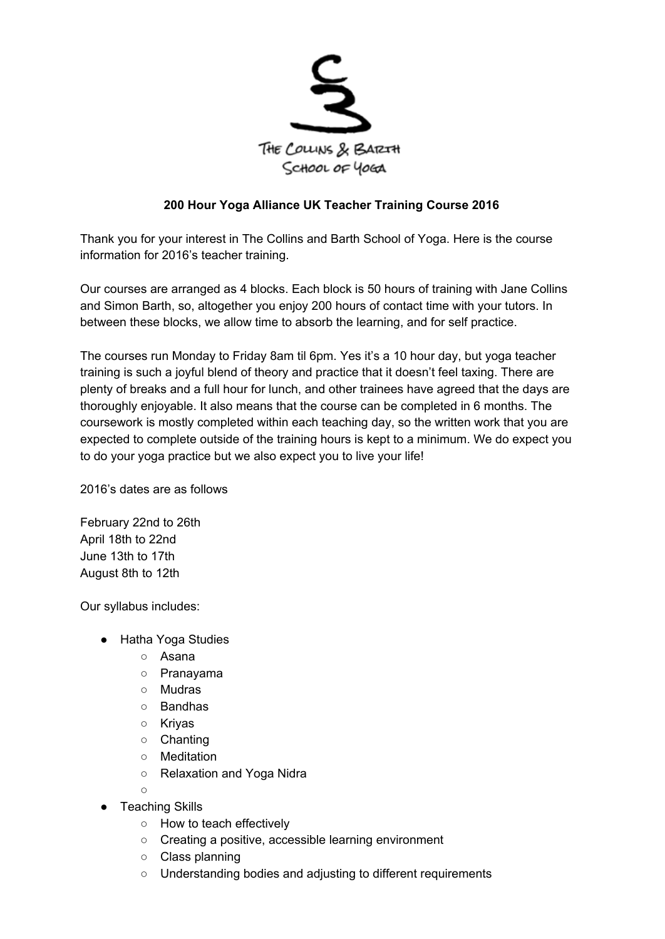

## **200 Hour Yoga Alliance UK Teacher Training Course 2016**

Thank you for your interest in The Collins and Barth School of Yoga. Here is the course information for 2016's teacher training.

Our courses are arranged as 4 blocks. Each block is 50 hours of training with Jane Collins and Simon Barth, so, altogether you enjoy 200 hours of contact time with your tutors. In between these blocks, we allow time to absorb the learning, and for self practice.

The courses run Monday to Friday 8am til 6pm. Yes it's a 10 hour day, but yoga teacher training is such a joyful blend of theory and practice that it doesn't feel taxing. There are plenty of breaks and a full hour for lunch, and other trainees have agreed that the days are thoroughly enjoyable. It also means that the course can be completed in 6 months. The coursework is mostly completed within each teaching day, so the written work that you are expected to complete outside of the training hours is kept to a minimum. We do expect you to do your yoga practice but we also expect you to live your life!

2016's dates are as follows

February 22nd to 26th April 18th to 22nd June 13th to 17th August 8th to 12th

Our syllabus includes:

- Hatha Yoga Studies
	- Asana
	- Pranayama
	- Mudras
	- Bandhas
	- Kriyas
	- Chanting
	- Meditation
	- Relaxation and Yoga Nidra

 $\circ$ 

- Teaching Skills
	- How to teach effectively
	- Creating a positive, accessible learning environment
	- Class planning
	- Understanding bodies and adjusting to different requirements